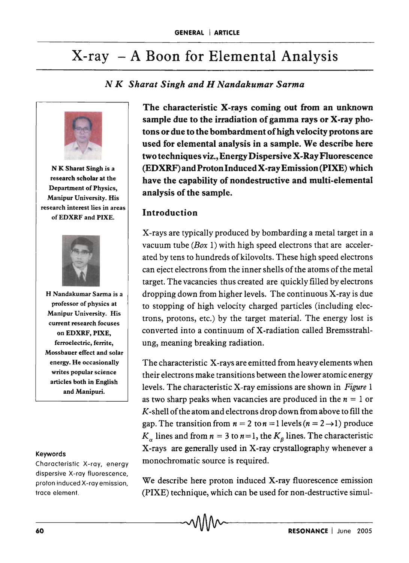# $X-ray - A Boon for Elemental Analysis$

## *N K Sharat Singh and H Nandakumar Sarma*



N K Sharat Singh is a research scholar at the Department of Physics, Manipur University. His research interest lies in areas ofEDXRF and PIXE.



H Nandakumar Sarma is a professor of physics at Manipur University. His current research focuses on EDXRF, PIXE, ferroelectric, ferrite, Mossbauer effect and solar energy. He occasionally writes popular science articles both in English and Manipuri.

#### Keywords

Characteristic X-ray, energy dispersive X-ray fluorescence, proton induced X-ray emission, trace element.

The characteristic X-rays coming out from an unknown sample due to the irradiation of gamma rays or X-ray photons or due to the bombardment of high velocity protons are used for elemental analysis in a sample. We describe here two techniques viz., Energy Dispersive X-Ray Fluorescence (EDXRF) and Proton Induced X-ray Emission (PIXE) which have the capability of nondestructive and multi-elemental analysis of the sample.

### **Introduction**

X-rays are typically produced by bombarding a metal target in a vacuum tube *(Box* 1) with high speed electrons that are accelerated by tens to hundreds of kilovolts. These high speed electrons can eject electrons from the inner shells of the atoms of the metal target. The vacancies thus created are quickly filled by electrons dropping down from higher levels. The continuous X-ray is due to stopping of high velocity charged particles (including electrons, protons, etc.) by the target material. The energy lost is converted into a continuum of X-radiation called Bremsstrahlung, meaning breaking radiation.

The characteristic X-rays are emitted from heavy elements when their electrons make transitions between the lower atomic energy levels. The characteristic X-ray emissions are shown in *Figure* 1 as two sharp peaks when vacancies are produced in the  $n = 1$  or *K* -shell of the atom and electrons drop down from above to fill the gap. The transition from  $n = 2$  to  $n = 1$  levels ( $n = 2 \rightarrow 1$ ) produce  $K_a$  lines and from  $n = 3$  to  $n = 1$ , the  $K_a$  lines. The characteristic X-rays are generally used in X-ray crystallography whenever a monochromatic source is required.

We describe here proton induced X-ray fluorescence emission (PIXE) technique, which can be used for non-destructive simul-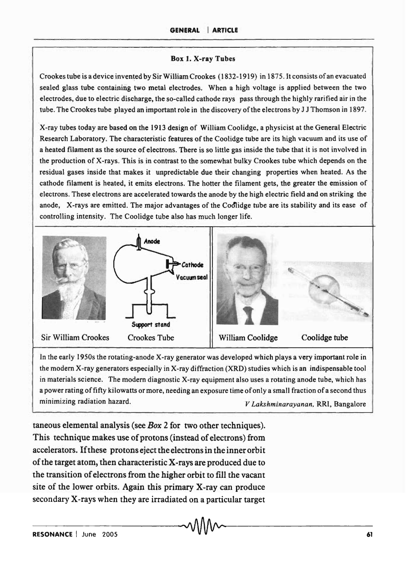#### Box l. X-ray Tubes

Crookes tube is a device invented by SirWilliamCrookes (1832-1919) in 187S. 1t consists of an evacuated sealed glass tube containing two metal electrodes. When a high voltage is applied between the two electrodes, due to electric discharge, the so-called cathode rays pass through the highly rarified air in the tube. The Crookes tube played an important role in the discovery of the electrons by J J Thomson in 1897.

X-ray tubes today are based on the 1913 design of William Coolidge, a physicist at the General Electric Research Laboratory. The characteristic features of the Coolidge tube are its high vacuum and its use of a heated filament as the source of electrons. There is so little gas inside the tube that it is not involved in the production of X-rays. This is in contrast to the somewhat bulky Crookes tube which depends on the residual gases inside that makes it unpredictable due their changing properties when heated. As the cathode filament is heated, it emits electrons. The hotter the filament gets, the greater the emission of electrons. These electrons are accelerated towards the anode by the high electric field and on striking the anode, X-rays are emitted. The major advantages of the Cod'lidge tube are its stability and its ease of controlling intensity. The Coolidge tube also has much longer life.



In the early 1950s the rotating-anode X-ray generator was developed which plays a very important role in the modem X-ray generators especially in X-ray diffraction (XRD) studies which is an indispensable tool in materials science. The modern diagnostic X-ray equipment also uses a rotating anode tube, which has a power rating of fifty kilowatts or more, needing an exposure time of only a small fraction of a second thus minimizing radiation hazard. *V Lakshminarayanan,* RRI, Bangalore

taneous elemental analysis (see *Box* 2 for two other techniques). This technique makes use of protons (instead of electrons) from accelerators. If these protons eject the electrons in the inner orbit of the target atom, then characteristic X-rays are produced due to the transition of electrons from the higher orbit to fill the vacant site of the lower orbits. Again this primary X-ray can produce secondary X-rays when they are irradiated on a particular target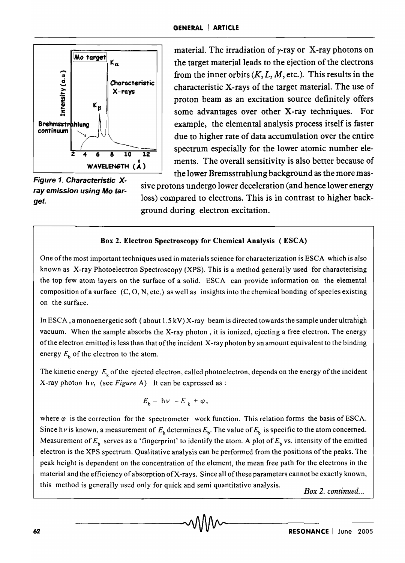

Figure 1. Characteristic Xray emission using Mo target.

material. The irradiation of  $\gamma$ -ray or X-ray photons on the target material leads to the ejection of the electrons from the inner orbits  $(K, L, M,$  etc.). This results in the  $X$ -rays  $X$ -rays of the target material. The use of  $X$ -rays of the target material. The use of proton beam as an excitation source definitely offers some advantages over other X-ray techniques. For example, the elemental analysis process itself is faster due to higher rate of data accumulation over the entire spectrum especially for the lower atomic number elements. The overall sensitivity is also better because of the lower Bremsstrahlung background as the more mas-

> sive protons undergo lower deceleration (and hence lower energy loss) compared to electrons. This is in contrast to higher background during electron excitation.

#### Box 2. Electron Spectroscopy for Chemical Analysis (ESCA)

One of the most important techniques used in materials science for characterization is ESCA which is also known as X-ray Photoelectron Spectroscopy (XPS). This is a method generally used for characterising the top few atom layers on the surface of a solid. ESCA can provide information on the elemental composition of a surface  $(C, O, N, etc.)$  as well as insights into the chemical bonding of species existing on the surface.

In ESCA, a monoenergetic soft (about 1.5 kV) X-ray beam is directed towards the sample under ultrahigh vacuum. When the sample absorbs the X-ray photon, it is ionized, ejecting a free electron. The energy of the electron emitted is less than that of the incident X-ray photon by an amount equivalent to the binding energy  $E_b$  of the electron to the atom.

The kinetic energy  $E_k$  of the ejected electron, called photoelectron, depends on the energy of the incident X-ray photon h *v,* (see *Figure* A) It can be expressed as :

$$
E_{b} = h v - E_{k} + \varphi,
$$

where  $\varphi$  is the correction for the spectrometer work function. This relation forms the basis of ESCA. Since h *v* is known, a measurement of  $E_k$  determines  $E_k$ . The value of  $E_k$  is specific to the atom concerned. Measurement of  $E_p$  serves as a 'fingerprint' to identify the atom. A plot of  $E_p$  vs. intensity of the emitted electron is the XPS spectrum. Qualitative analysis can be performed from the positions of the peaks. The peak height is dependent on the concentration of the element, the mean free path for the electrons in the material and the efficiency of absorption of X-rays. Since all ofthese parameters cannot be exactly known, this method is generally used only for quick and semi quantitative analysis. *Box* 2. *continued ...*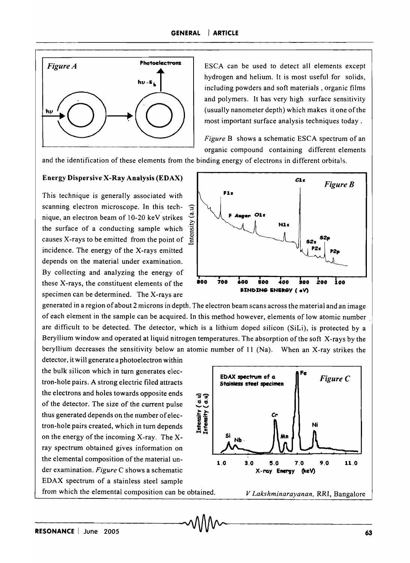

ESCA can be used to detect all elements except hydrogen and helium. It is most useful for solids, including powders and soft materials, organic films and polymers. It has very high surface sensitivity (usually nanometer depth) which makes it one of the most important surface analysis techniques today.

*Figure* B shows a schematic ESCA spectrum of an organic compound containing different elements

and the identification of these elements from the binding energy of electrons in different orbitals.

#### Energy Dispersive X-Ray Analysis (ED AX)

This technique is generally associated with scanning electron microscope. In this tech-  $\widehat{\mathcal{F}}$ nique, an electron beam of 10-20 keV strikes  $\sigma$ the surface of a conducting sample which causes X-rays to be emitted from the point of <sup>~</sup> incidence. The energy of the X-rays emitted depends on the material under examination. By collecting and analyzing the energy of these X-rays, the constituent elements of the specimen can be determined. The X-rays are



generated in a region of about 2 microns in depth. The electron beam scans across the material and an image of each element in the sample can be acquired. In this method however, elements of low atomic number. are difficult to be detected. The detector, which is a lithium doped silicon (SiLi), is protected by a Beryllium window and operated at liquid nitrogen temperatures. The absorption of the soft X-rays by the beryllium decreases the sensitivity below an atomic number of 11 (Na). When an X-ray strikes the

detector, it will generate a photoelectron within the bulk silicon which in turn generates electron-hole pairs. A strong electric filed attracts the electrons and holes towards opposite ends of the detector. The size of the current pulse thus generated depends on the number of electron-hole pairs created, which in turn depends on the energy of the incoming X-ray. The xray spectrum obtained gives information on the elemental composition of the material under examination. *Figure* C shows a schematic EDAX spectrum of a stainless steel sample from which the elemental composition can be obtained.

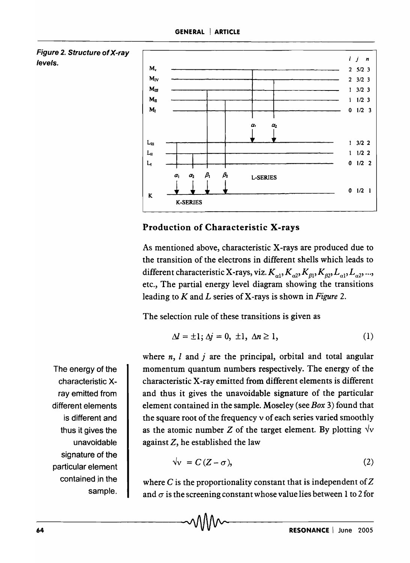



## Production of Characteristic X-rays

As mentioned above, characteristic X-rays are produced due to the transition of the electrons in different shells which leads to different characteristic X-rays, viz.  $K_{a1}$ ,  $K_{a2}$ ,  $K_{g1}$ ,  $K_{g2}$ ,  $L_{a1}$ ,  $L_{a2}$ , ..., etc., The partial energy level diagram showing the transitions leading to *K* and *L* series of X-rays is shown in *Figure 2.* 

The selection rule of these transitions is given as

$$
\Delta l = \pm 1; \Delta j = 0, \pm 1, \Delta n \ge 1,
$$
 (1)

where  $n$ ,  $l$  and  $j$  are the principal, orbital and total angular momentum quantum numbers respectively. The energy of the characteristic X-ray emitted from different elements is different and thus it gives the unavoidable signature of the particular element contained in the sample. Moseley (see *Box* 3) found that the square root of the frequency v of each series varied smoothly as the atomic number  $Z$  of the target element. By plotting  $\sqrt{v}$ against Z, he established the law

$$
\sqrt{\mathbf{v}} = C(Z - \sigma),\tag{2}
$$

where C is the proportionality constant that is independent of  $Z$ and  $\sigma$  is the screening constant whose value lies between 1 to 2 for

The energy of the characteristic Xray emitted from different elements is different and thus it gives the unavoidable signature of the particular element contained in the sample.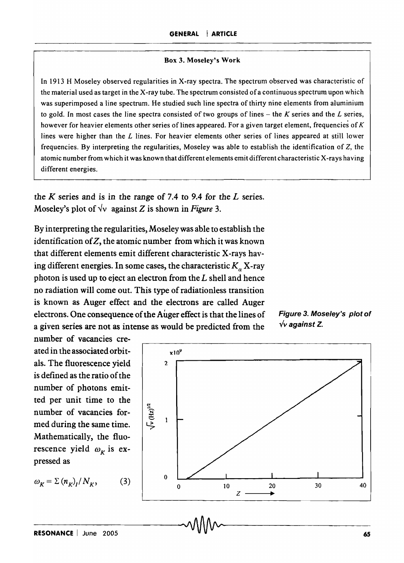#### Box 3. Moseley's Work

In 1913 H Moseley observed regularities in X-ray spectra. The spectrum observed was characteristic of the material used as target in the X-ray tube. The spectrum consisted ofa continuous spectrum upon which was superimposed a line spectrum. He studied such line spectra of thirty nine elements from aluminium to gold. In most cases the line spectra consisted of two groups of lines - the *K* series and the *L* series, however for heavier elements other series of lines appeared. For a given target element, frequencies of  $K$ lines were higher than the  $L$  lines. For heavier elements other series of lines appeared at still lower frequencies. By interpreting the regularities, Moseley was able to establish the identification of Z, the atomic number from which it was known that different elements emit different characteristic X-rays having different energies.

the *K* series and is in the range of 7.4 to 9.4 for the *L* series. Moseley's plot of  $\forall v$  against Z is shown in *Figure* 3.

By interpreting the regularities, Moseley was able to establish the identification of  $Z$ , the atomic number from which it was known that different elements emit different characteristic X-rays having different energies. In some cases, the characteristic  $K_a$  X-ray photon is used up to eject an electron from the  $L$  shell and hence no radiation will come out. This type of radiationless transition is known as Auger effect and the electrons are called Auger electrons. One consequence of the Auger effect is that the lines of a given series are not as intense as would be predicted from the

Figure 3. Moseley's plot of  $\sqrt{v}$  against Z.

number of vacancies createdin the associated orbit- xl09 als. The fluorescence yield  $\frac{1}{2}$ is defined as the ratio of the number of photons emitted per unit time to the number of vacancies formed during the same time. Mathematically, the fluorescence yield  $\omega_K$  is expressed as

$$
\omega_K = \Sigma (n_K)_I / N_K, \qquad (
$$

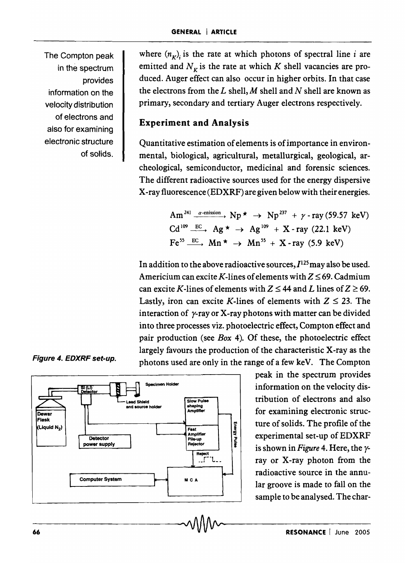The Compton peak in the spectrum provides information on the velocity distribution of electrons and also for examining electronic structure of solids.

Figure 4. EDXRF set-up.

where  $(n<sub>K</sub>)$ <sub>i</sub> is the rate at which photons of spectral line *i* are emitted and  $N_K$  is the rate at which K shell vacancies are produced. Auger effect can also occur in higher orbits. In that case the electrons from the  $L$  shell,  $M$  shell and  $N$  shell are known as primary, secondary and tertiary Auger electrons respectively.

## Experiment and Analysis

Quantitative estimation of elements is of importance in environmental, biological, agricultural, metallurgical, geological, archeological, semiconductor, medicinal and forensic sciences. The different radioactive sources used for the energy dispersive X-ray fluorescence (EDXRF) are given below with their energies.

> Am<sup>241</sup>  $\xrightarrow{\alpha\text{-enission}}$  Np  $\star \rightarrow$  Np<sup>237</sup> +  $\gamma$  - ray (59.57 keV)  $Cd^{109} \xrightarrow{EC} Ag \star \rightarrow Ag^{109} + X-ray$  (22.1 keV)  $\text{Fe}^{55} \xrightarrow{\text{EC}} \text{Mn}^{\star} \rightarrow \text{Mn}^{55} + \text{X-ray}$  (5.9 keV)

In addition to the above radioactive sources,  $I^{125}$  may also be used. Americium can excite *K*-lines of elements with  $Z \le 69$ . Cadmium can excite K-lines of elements with  $Z \le 44$  and L lines of  $Z \ge 69$ . Lastly, iron can excite K-lines of elements with  $Z \leq 23$ . The interaction of  $\gamma$ -ray or X-ray photons with matter can be divided into three processes viz. photoelectric effect, Compton effect and pair production (see *Box* 4). Of these, the photoelectric effect largely favours the production of the characteristic X-ray as the photons used are only in the range of a few keV. The Compton



peak in the spectrum provides information on the velocity distribution of electrons and also for examining electronic structure of solids. The profile of the experimental set-up of EDXRF is shown in *Figure* 4. Here, the yray or X-ray photon from the radioactive source in the annular groove is made to fall on the sample to be analysed. The char-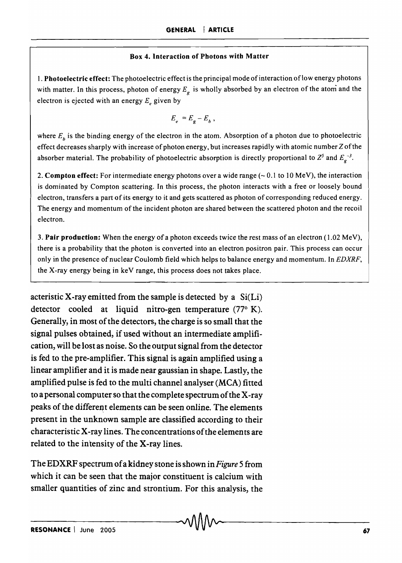#### Box 4. Interaction of Photons with Matter

1. Photoelectric effect: The photoelectric effect is the principal mode of interaction oflow energy photons with matter. In this process, photon of energy  $E<sub>e</sub>$  is wholly absorbed by an electron of the atom and the electron is ejected with an energy  $E<sub>e</sub>$  given by

$$
E_e = E_g - E_b,
$$

where  $E<sub>b</sub>$  is the binding energy of the electron in the atom. Absorption of a photon due to photoelectric effect decreases sharply with increase of photon energy, but increases rapidly with atomic number Z of the absorber material. The probability of photoelectric absorption is directly proportional to  $Z^5$  and  $E^{-3}$ .

2. Compton effect: For intermediate energy photons over a wide range  $(-0.1 \text{ to } 10 \text{ MeV})$ , the interaction is dominated by Compton scattering. In this process, the photon interacts with a free or loosely bound electron, transfers a part of its energy to it and gets scattered as photon of corresponding reduced energy. The energy and momentum of the incident photon are shared between the scattered photon and the recoil electron.

3. Pair production: When the energy of a photon exceeds twice the rest mass of an electron (1.02 MeV), there is a probability that the photon is converted into an electron positron pair. This process can occur only in the presence of nuclear Coulomb field which helps to balance energy and momentum. In *EDXRF,*  the X-ray energy being in keV range, this process does not takes place.

acteristic X-ray emitted from the sample is detected by a  $Si(Li)$ detector cooled at liquid nitro-gen temperature  $(77°)$  K). Generally, in most of the detectors, the charge is so small that the signal pulses obtained, if used without an intermediate amplification, will be lost as noise. So the output signal from the detector is fed to the pre-amplifier. This signal is again amplified using a linear amplifier and it is made near gaussian in shape. Lastly, the amplified pulse is fed to the multi channel analyser  $(MCA)$  fitted to a personal computer so that the complete spectrum of the X-ray peaks of the different elements can be seen online. The elements present in the unknown sample are classified according to their characteristic X-ray lines. The concentrations of the elements are related to the intensity of the X-ray lines.

The EDXRF spectrum of a kidney stone is shown in *Figure* 5 from which it can be seen that the major constituent is calcium with smaller quantities of zinc and strontium. For this analysis, the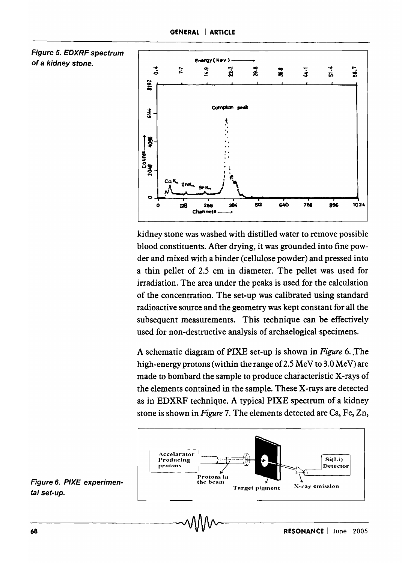

kidney stone was washed with distilled water to remove possible blood constituents. After drying, it was grounded into fine powder and mixed with a binder (cellulose powder) and pressed into a thin pellet of 2.5 cm in diameter. The pellet was used for irradiation. The area under the peaks is used for the calculation of the concentration. The set-up was calibrated using standard radioactive source and the geometry was kept constant for all the subsequent measurements. This technique can be effectively used for non-destructive analysis of archaelogical specimens.

A schematic diagram of PIXE set-up is shown in *Figure* 6 .. The high-energy protons (within the range of 2.5 MeV to 3.0 MeV) are made to bombard the sample to produce characteristic X-rays of the elements contained in the sample. These X-rays are detected as in EDXRF technique. A typical PIXE spectrum of a kidney stone is shown in *Figure* 7. The elements detected are Ca, Fe, Zn,



Figure 6. PIXE experimental set-up.